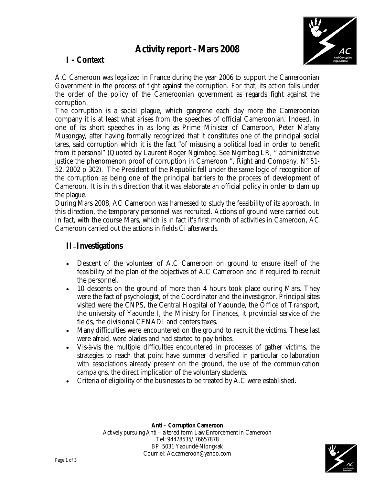# **Activity report - Mars 2008**



# **I - Context**

A.C Cameroon was legalized in France during the year 2006 to support the Cameroonian Government in the process of fight against the corruption. For that, its action falls under the order of the policy of the Cameroonian government as regards fight against the corruption.

The corruption is a social plague, which gangrene each day more the Cameroonian company it is at least what arises from the speeches of official Cameroonian. Indeed, in one of its short speeches in as long as Prime Minister of Cameroon, Peter Mafany Musongay, after having formally recognized that it constitutes one of the principal social tares, said corruption which it is the fact "of misusing a political load in order to benefit from it personal" (Quoted by Laurent Roger Ngimbog. See Ngimbog LR, " administrative justice the phenomenon proof of corruption in Cameroon ", *Right and Company*, N° 51- 52, 2002 p 302). The President of the Republic fell under the same logic of recognition of the corruption as being one of the principal barriers to the process of development of Cameroon. It is in this direction that it was elaborate an official policy in order to dam up the plague.

During Mars 2008, AC Cameroon was harnessed to study the feasibility of its approach. In this direction, the temporary personnel was recruited. Actions of ground were carried out. In fact, with the course Mars, which is in fact it's first month of activities in Cameroon, AC Cameroon carried out the actions in fields Ci afterwards.

#### **II – Investigations**

- Descent of the volunteer of A.C Cameroon on ground to ensure itself of the feasibility of the plan of the objectives of A.C Cameroon and if required to recruit the personnel.
- 10 descents on the ground of more than 4 hours took place during Mars. They were the fact of psychologist, of the Coordinator and the investigator. Principal sites visited were the CNPS, the Central Hospital of Yaounde, the Office of Transport, the university of Yaounde I, the Ministry for Finances, it provincial service of the fields, the divisional CENADI and centers taxes.
- Many difficulties were encountered on the ground to recruit the victims. These last were afraid, were blades and had started to pay bribes.
- Vis-à-vis the multiple difficulties encountered in processes of gather victims, the strategies to reach that point have summer diversified in particular collaboration with associations already present on the ground, the use of the communication campaigns, the direct implication of the voluntary students.
- Criteria of eligibility of the businesses to be treated by A.C were established.

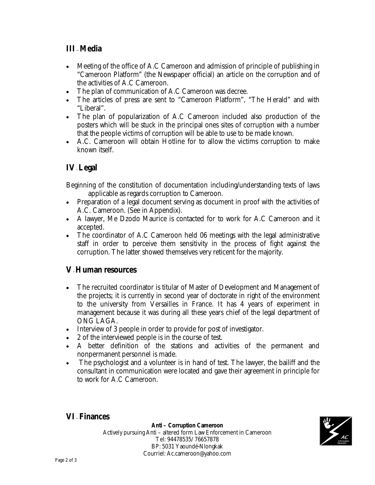### **III –Media**

- Meeting of the office of A.C Cameroon and admission of principle of publishing in "Cameroon Platform" (the Newspaper official) an article on the corruption and of the activities of A.C Cameroon.
- The plan of communication of A.C Cameroon was decree.
- The articles of press are sent to "Cameroon Platform", "The Herald" and with "Liberal".
- The plan of popularization of A.C Cameroon included also production of the posters which will be stuck in the principal ones sites of corruption with a number that the people victims of corruption will be able to use to be made known.
- A.C. Cameroon will obtain Hotline for to allow the victims corruption to make known itself.

# **IV-Legal**

Beginning of the constitution of documentation including/understanding texts of laws applicable as regards corruption to Cameroon.

- Preparation of a legal document serving as document in proof with the activities of A.C. Cameroon. (See in Appendix).
- A lawyer, Me Dzodo Maurice is contacted for to work for A.C Cameroon and it accepted.
- The coordinator of A.C Cameroon held 06 meetings with the legal administrative staff in order to perceive them sensitivity in the process of fight against the corruption. The latter showed themselves very reticent for the majority.

### **V-Human resources**

- The recruited coordinator is titular of Master of Development and Management of the projects; it is currently in second year of doctorate in right of the environment to the university from Versailles in France. It has 4 years of experiment in management because it was during all these years chief of the legal department of ONG LAGA.
- Interview of 3 people in order to provide for post of investigator.
- 2 of the interviewed people is in the course of test.
- A better definition of the stations and activities of the permanent and nonpermanent personnel is made.
- The psychologist and a volunteer is in hand of test. The lawyer, the bailiff and the consultant in communication were located and gave their agreement in principle for to work for A.C Cameroon.

### **VI –Finances**

**Anti – Corruption Cameroon**  Actively pursuing Anti – altered form Law Enforcement in Cameroon Tel: 94478535/ 76657878 BP: 5031 Yaoundé-Nlongkak Courriel: Ac.cameroon@yahoo.com